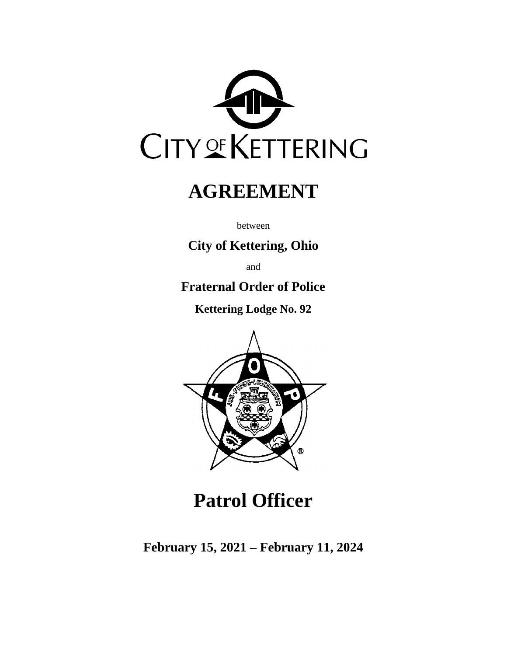

# **AGREEMENT**

between

## **City of Kettering, Ohio**

and

## **Fraternal Order of Police**

**Kettering Lodge No. 92**



# **Patrol Officer**

**February 15, 2021 – February 11, 2024**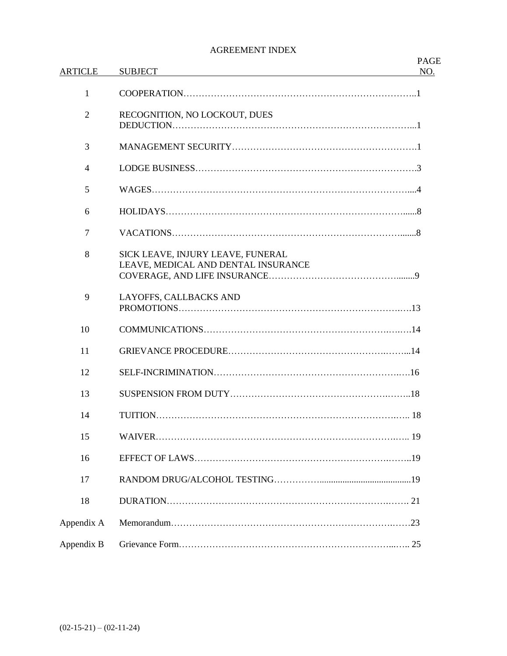#### AGREEMENT INDEX

| <b>ARTICLE</b> | <b>SUBJECT</b>                                                           | <b>PAGE</b><br>NO. |
|----------------|--------------------------------------------------------------------------|--------------------|
| 1              |                                                                          |                    |
| $\overline{2}$ | RECOGNITION, NO LOCKOUT, DUES                                            |                    |
| 3              |                                                                          |                    |
| $\overline{4}$ |                                                                          |                    |
| 5              |                                                                          |                    |
| 6              |                                                                          |                    |
| $\overline{7}$ |                                                                          |                    |
| 8              | SICK LEAVE, INJURY LEAVE, FUNERAL<br>LEAVE, MEDICAL AND DENTAL INSURANCE |                    |
| 9              | LAYOFFS, CALLBACKS AND                                                   |                    |
| 10             |                                                                          |                    |
| 11             |                                                                          |                    |
| 12             |                                                                          |                    |
| 13             |                                                                          |                    |
| 14             |                                                                          |                    |
| 15             |                                                                          |                    |
| 16             |                                                                          |                    |
| 17             |                                                                          |                    |
| 18             |                                                                          |                    |
| Appendix A     |                                                                          |                    |
| Appendix B     |                                                                          |                    |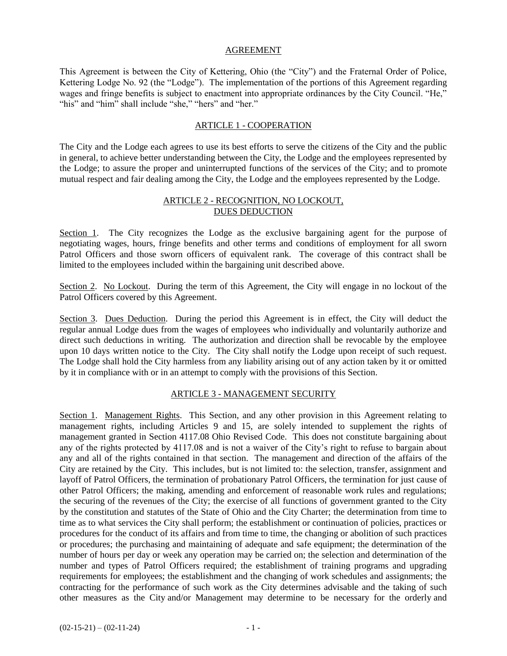#### AGREEMENT

This Agreement is between the City of Kettering, Ohio (the "City") and the Fraternal Order of Police, Kettering Lodge No. 92 (the "Lodge"). The implementation of the portions of this Agreement regarding wages and fringe benefits is subject to enactment into appropriate ordinances by the City Council. "He," "his" and "him" shall include "she," "hers" and "her."

#### ARTICLE 1 - COOPERATION

The City and the Lodge each agrees to use its best efforts to serve the citizens of the City and the public in general, to achieve better understanding between the City, the Lodge and the employees represented by the Lodge; to assure the proper and uninterrupted functions of the services of the City; and to promote mutual respect and fair dealing among the City, the Lodge and the employees represented by the Lodge.

#### ARTICLE 2 - RECOGNITION, NO LOCKOUT, DUES DEDUCTION

Section 1. The City recognizes the Lodge as the exclusive bargaining agent for the purpose of negotiating wages, hours, fringe benefits and other terms and conditions of employment for all sworn Patrol Officers and those sworn officers of equivalent rank. The coverage of this contract shall be limited to the employees included within the bargaining unit described above.

Section 2. No Lockout. During the term of this Agreement, the City will engage in no lockout of the Patrol Officers covered by this Agreement.

Section 3. Dues Deduction. During the period this Agreement is in effect, the City will deduct the regular annual Lodge dues from the wages of employees who individually and voluntarily authorize and direct such deductions in writing. The authorization and direction shall be revocable by the employee upon 10 days written notice to the City. The City shall notify the Lodge upon receipt of such request. The Lodge shall hold the City harmless from any liability arising out of any action taken by it or omitted by it in compliance with or in an attempt to comply with the provisions of this Section.

#### ARTICLE 3 - MANAGEMENT SECURITY

Section 1. Management Rights. This Section, and any other provision in this Agreement relating to management rights, including Articles 9 and 15, are solely intended to supplement the rights of management granted in Section 4117.08 Ohio Revised Code. This does not constitute bargaining about any of the rights protected by 4117.08 and is not a waiver of the City's right to refuse to bargain about any and all of the rights contained in that section. The management and direction of the affairs of the City are retained by the City. This includes, but is not limited to: the selection, transfer, assignment and layoff of Patrol Officers, the termination of probationary Patrol Officers, the termination for just cause of other Patrol Officers; the making, amending and enforcement of reasonable work rules and regulations; the securing of the revenues of the City; the exercise of all functions of government granted to the City by the constitution and statutes of the State of Ohio and the City Charter; the determination from time to time as to what services the City shall perform; the establishment or continuation of policies, practices or procedures for the conduct of its affairs and from time to time, the changing or abolition of such practices or procedures; the purchasing and maintaining of adequate and safe equipment; the determination of the number of hours per day or week any operation may be carried on; the selection and determination of the number and types of Patrol Officers required; the establishment of training programs and upgrading requirements for employees; the establishment and the changing of work schedules and assignments; the contracting for the performance of such work as the City determines advisable and the taking of such other measures as the City and/or Management may determine to be necessary for the orderly and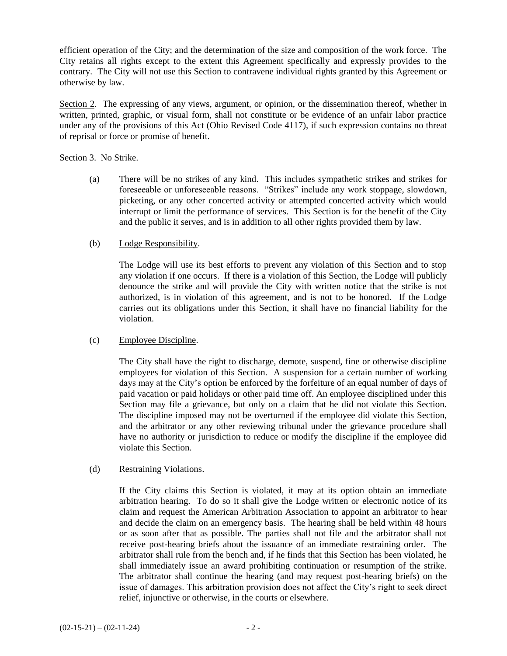efficient operation of the City; and the determination of the size and composition of the work force. The City retains all rights except to the extent this Agreement specifically and expressly provides to the contrary. The City will not use this Section to contravene individual rights granted by this Agreement or otherwise by law.

Section 2. The expressing of any views, argument, or opinion, or the dissemination thereof, whether in written, printed, graphic, or visual form, shall not constitute or be evidence of an unfair labor practice under any of the provisions of this Act (Ohio Revised Code 4117), if such expression contains no threat of reprisal or force or promise of benefit.

#### Section 3. No Strike.

(a) There will be no strikes of any kind. This includes sympathetic strikes and strikes for foreseeable or unforeseeable reasons. "Strikes" include any work stoppage, slowdown, picketing, or any other concerted activity or attempted concerted activity which would interrupt or limit the performance of services. This Section is for the benefit of the City and the public it serves, and is in addition to all other rights provided them by law.

#### (b) Lodge Responsibility.

The Lodge will use its best efforts to prevent any violation of this Section and to stop any violation if one occurs. If there is a violation of this Section, the Lodge will publicly denounce the strike and will provide the City with written notice that the strike is not authorized, is in violation of this agreement, and is not to be honored. If the Lodge carries out its obligations under this Section, it shall have no financial liability for the violation.

#### (c) Employee Discipline.

The City shall have the right to discharge, demote, suspend, fine or otherwise discipline employees for violation of this Section. A suspension for a certain number of working days may at the City's option be enforced by the forfeiture of an equal number of days of paid vacation or paid holidays or other paid time off. An employee disciplined under this Section may file a grievance, but only on a claim that he did not violate this Section. The discipline imposed may not be overturned if the employee did violate this Section, and the arbitrator or any other reviewing tribunal under the grievance procedure shall have no authority or jurisdiction to reduce or modify the discipline if the employee did violate this Section.

#### (d) Restraining Violations.

If the City claims this Section is violated, it may at its option obtain an immediate arbitration hearing. To do so it shall give the Lodge written or electronic notice of its claim and request the American Arbitration Association to appoint an arbitrator to hear and decide the claim on an emergency basis. The hearing shall be held within 48 hours or as soon after that as possible. The parties shall not file and the arbitrator shall not receive post-hearing briefs about the issuance of an immediate restraining order. The arbitrator shall rule from the bench and, if he finds that this Section has been violated, he shall immediately issue an award prohibiting continuation or resumption of the strike. The arbitrator shall continue the hearing (and may request post-hearing briefs) on the issue of damages. This arbitration provision does not affect the City's right to seek direct relief, injunctive or otherwise, in the courts or elsewhere.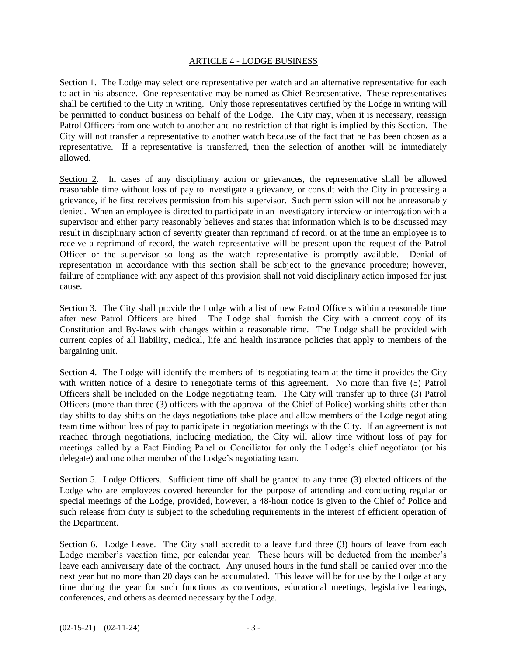#### ARTICLE 4 - LODGE BUSINESS

Section 1. The Lodge may select one representative per watch and an alternative representative for each to act in his absence. One representative may be named as Chief Representative. These representatives shall be certified to the City in writing. Only those representatives certified by the Lodge in writing will be permitted to conduct business on behalf of the Lodge. The City may, when it is necessary, reassign Patrol Officers from one watch to another and no restriction of that right is implied by this Section. The City will not transfer a representative to another watch because of the fact that he has been chosen as a representative. If a representative is transferred, then the selection of another will be immediately allowed.

Section 2. In cases of any disciplinary action or grievances, the representative shall be allowed reasonable time without loss of pay to investigate a grievance, or consult with the City in processing a grievance, if he first receives permission from his supervisor. Such permission will not be unreasonably denied. When an employee is directed to participate in an investigatory interview or interrogation with a supervisor and either party reasonably believes and states that information which is to be discussed may result in disciplinary action of severity greater than reprimand of record, or at the time an employee is to receive a reprimand of record, the watch representative will be present upon the request of the Patrol Officer or the supervisor so long as the watch representative is promptly available. Denial of representation in accordance with this section shall be subject to the grievance procedure; however, failure of compliance with any aspect of this provision shall not void disciplinary action imposed for just cause.

Section 3. The City shall provide the Lodge with a list of new Patrol Officers within a reasonable time after new Patrol Officers are hired. The Lodge shall furnish the City with a current copy of its Constitution and By-laws with changes within a reasonable time. The Lodge shall be provided with current copies of all liability, medical, life and health insurance policies that apply to members of the bargaining unit.

Section 4. The Lodge will identify the members of its negotiating team at the time it provides the City with written notice of a desire to renegotiate terms of this agreement. No more than five (5) Patrol Officers shall be included on the Lodge negotiating team. The City will transfer up to three (3) Patrol Officers (more than three (3) officers with the approval of the Chief of Police) working shifts other than day shifts to day shifts on the days negotiations take place and allow members of the Lodge negotiating team time without loss of pay to participate in negotiation meetings with the City. If an agreement is not reached through negotiations, including mediation, the City will allow time without loss of pay for meetings called by a Fact Finding Panel or Conciliator for only the Lodge's chief negotiator (or his delegate) and one other member of the Lodge's negotiating team.

Section 5. Lodge Officers. Sufficient time off shall be granted to any three (3) elected officers of the Lodge who are employees covered hereunder for the purpose of attending and conducting regular or special meetings of the Lodge, provided, however, a 48-hour notice is given to the Chief of Police and such release from duty is subject to the scheduling requirements in the interest of efficient operation of the Department.

Section 6. Lodge Leave. The City shall accredit to a leave fund three (3) hours of leave from each Lodge member's vacation time, per calendar year. These hours will be deducted from the member's leave each anniversary date of the contract. Any unused hours in the fund shall be carried over into the next year but no more than 20 days can be accumulated. This leave will be for use by the Lodge at any time during the year for such functions as conventions, educational meetings, legislative hearings, conferences, and others as deemed necessary by the Lodge.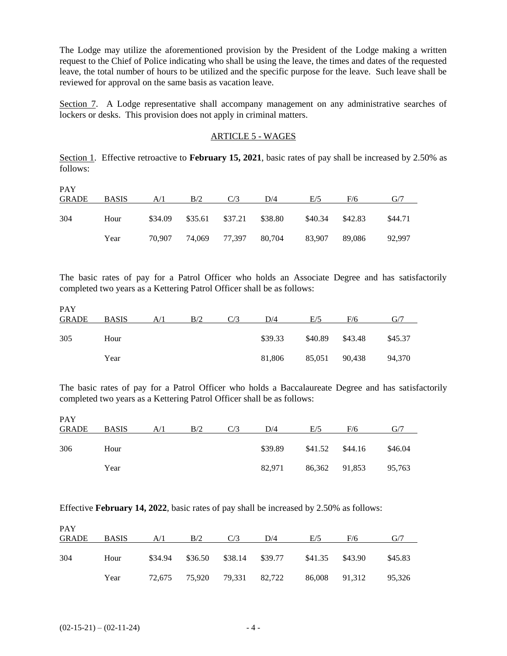The Lodge may utilize the aforementioned provision by the President of the Lodge making a written request to the Chief of Police indicating who shall be using the leave, the times and dates of the requested leave, the total number of hours to be utilized and the specific purpose for the leave. Such leave shall be reviewed for approval on the same basis as vacation leave.

Section 7. A Lodge representative shall accompany management on any administrative searches of lockers or desks. This provision does not apply in criminal matters.

#### ARTICLE 5 - WAGES

Section 1. Effective retroactive to **February 15, 2021**, basic rates of pay shall be increased by 2.50% as follows:

| <b>PAY</b><br><b>GRADE</b> | <b>BASIS</b> | A/1     | B/2     | C/3                  | D/4     | E/5     | F/6     | G/7     |
|----------------------------|--------------|---------|---------|----------------------|---------|---------|---------|---------|
| 304                        | Hour         | \$34.09 | \$35.61 | \$37.21              | \$38.80 | \$40.34 | \$42.83 | \$44.71 |
|                            | Year         | 70.907  |         | 74,069 77,397 80,704 |         | 83,907  | 89.086  | 92,997  |

The basic rates of pay for a Patrol Officer who holds an Associate Degree and has satisfactorily completed two years as a Kettering Patrol Officer shall be as follows:

| <b>PAY</b><br><b>GRADE</b> | <b>BASIS</b> | A/1 | B/2 | C/3 | D/4     | E/5     | F/6     | G/7     |
|----------------------------|--------------|-----|-----|-----|---------|---------|---------|---------|
| 305                        | Hour         |     |     |     | \$39.33 | \$40.89 | \$43.48 | \$45.37 |
|                            | Year         |     |     |     | 81,806  | 85,051  | 90,438  | 94,370  |

The basic rates of pay for a Patrol Officer who holds a Baccalaureate Degree and has satisfactorily completed two years as a Kettering Patrol Officer shall be as follows:

| <b>PAY</b><br>GRADE | <b>BASIS</b> | A/I | B/2 | D/4     | E/5           | F/6     | G/7     |
|---------------------|--------------|-----|-----|---------|---------------|---------|---------|
| 306                 | Hour         |     |     | \$39.89 | \$41.52       | \$44.16 | \$46.04 |
|                     | Year         |     |     | 82.971  | 86,362 91,853 |         | 95,763  |

Effective **February 14, 2022**, basic rates of pay shall be increased by 2.50% as follows:

| <b>PAY</b><br><b>GRADE</b> | <b>BASIS</b> | A/1 | B/2                         | C/3 | D/4                             | E/5           | F/6     | G/7     |
|----------------------------|--------------|-----|-----------------------------|-----|---------------------------------|---------------|---------|---------|
|                            |              |     |                             |     |                                 |               |         |         |
| 304                        | Hour         |     |                             |     | \$34.94 \$36.50 \$38.14 \$39.77 | \$41.35       | \$43.90 | \$45.83 |
|                            | Year         |     | 72,675 75,920 79,331 82,722 |     |                                 | 86,008 91,312 |         | 95,326  |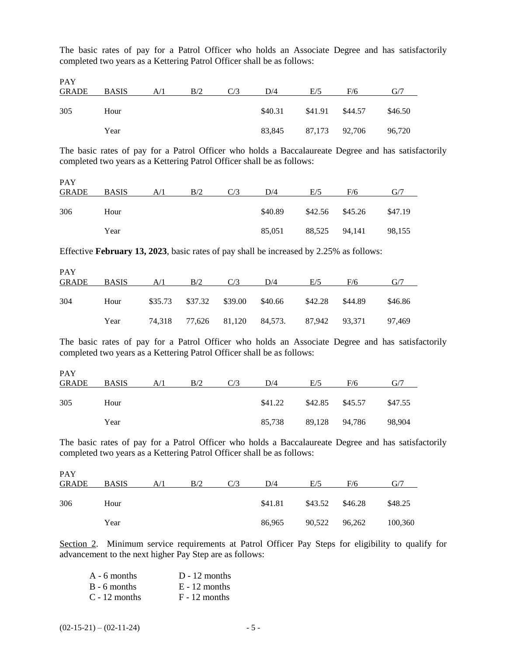The basic rates of pay for a Patrol Officer who holds an Associate Degree and has satisfactorily completed two years as a Kettering Patrol Officer shall be as follows:

PAY

| .<br>GRADE | <b>BASIS</b> | A/1 | B/2 | C/3 | D/4     | E/5           | F/6     | G/7     |
|------------|--------------|-----|-----|-----|---------|---------------|---------|---------|
| 305        | Hour         |     |     |     | \$40.31 | \$41.91       | \$44.57 | \$46.50 |
|            | Year         |     |     |     | 83.845  | 87,173 92,706 |         | 96,720  |

The basic rates of pay for a Patrol Officer who holds a Baccalaureate Degree and has satisfactorily completed two years as a Kettering Patrol Officer shall be as follows:

PAY

| <b>GRADE</b> | <b>BASIS</b> | A/1 | B/2 | D/4     | E/5 | F/6               | G/7     |
|--------------|--------------|-----|-----|---------|-----|-------------------|---------|
| 306          | Hour         |     |     | \$40.89 |     | $$42.56$ $$45.26$ | \$47.19 |
|              | Year         |     |     | 85.051  |     | 88,525 94,141     | 98,155  |

Effective **February 13, 2023**, basic rates of pay shall be increased by 2.25% as follows:

| <b>PAY</b><br>GRADE | BASIS | A/1 | B/2                     | C/3 | D/4                                        | E/5     | F/6     | G/7     |
|---------------------|-------|-----|-------------------------|-----|--------------------------------------------|---------|---------|---------|
|                     |       |     |                         |     |                                            |         |         |         |
| 304                 | Hour  |     | \$35.73 \$37.32 \$39.00 |     | \$40.66                                    | \$42.28 | \$44.89 | \$46.86 |
|                     | Year  |     |                         |     | 74,318 77,626 81,120 84,573. 87,942 93,371 |         |         | 97,469  |

The basic rates of pay for a Patrol Officer who holds an Associate Degree and has satisfactorily completed two years as a Kettering Patrol Officer shall be as follows:

| <b>PAY</b><br><b>GRADE</b> | <b>BASIS</b> | A/1 | B/2 | C/3 | D/4     | E/5             | F/6           | G/7     |
|----------------------------|--------------|-----|-----|-----|---------|-----------------|---------------|---------|
| 305                        | Hour         |     |     |     | \$41.22 | \$42.85 \$45.57 |               | \$47.55 |
|                            | Year         |     |     |     | 85,738  |                 | 89,128 94,786 | 98,904  |

The basic rates of pay for a Patrol Officer who holds a Baccalaureate Degree and has satisfactorily completed two years as a Kettering Patrol Officer shall be as follows:

| <b>PAY</b>   |              |     |     |     |         |         |         |         |
|--------------|--------------|-----|-----|-----|---------|---------|---------|---------|
| <b>GRADE</b> | <b>BASIS</b> | A/1 | B/2 | C/3 | D/4     | E/5     | F/6     | G/7     |
| 306          | Hour         |     |     |     | \$41.81 | \$43.52 | \$46.28 | \$48.25 |
|              |              |     |     |     |         |         |         |         |
|              | Year         |     |     |     | 86,965  | 90,522  | 96,262  | 100,360 |

Section 2. Minimum service requirements at Patrol Officer Pay Steps for eligibility to qualify for advancement to the next higher Pay Step are as follows:

| $A - 6$ months  | $D - 12$ months |
|-----------------|-----------------|
| $B - 6$ months  | $E - 12$ months |
| $C - 12$ months | $F - 12$ months |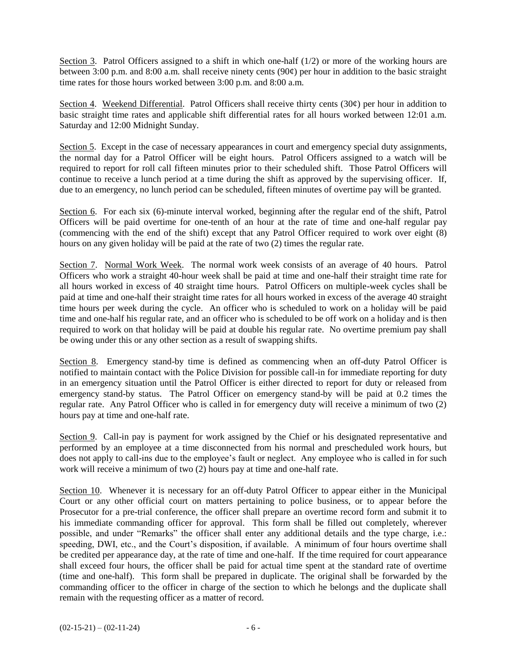Section 3. Patrol Officers assigned to a shift in which one-half  $(1/2)$  or more of the working hours are between 3:00 p.m. and 8:00 a.m. shall receive ninety cents (90¢) per hour in addition to the basic straight time rates for those hours worked between 3:00 p.m. and 8:00 a.m.

Section 4. Weekend Differential. Patrol Officers shall receive thirty cents  $(30¢)$  per hour in addition to basic straight time rates and applicable shift differential rates for all hours worked between 12:01 a.m. Saturday and 12:00 Midnight Sunday.

Section 5. Except in the case of necessary appearances in court and emergency special duty assignments, the normal day for a Patrol Officer will be eight hours. Patrol Officers assigned to a watch will be required to report for roll call fifteen minutes prior to their scheduled shift. Those Patrol Officers will continue to receive a lunch period at a time during the shift as approved by the supervising officer. If, due to an emergency, no lunch period can be scheduled, fifteen minutes of overtime pay will be granted.

Section 6. For each six (6)-minute interval worked, beginning after the regular end of the shift, Patrol Officers will be paid overtime for one-tenth of an hour at the rate of time and one-half regular pay (commencing with the end of the shift) except that any Patrol Officer required to work over eight (8) hours on any given holiday will be paid at the rate of two (2) times the regular rate.

Section 7. Normal Work Week. The normal work week consists of an average of 40 hours. Patrol Officers who work a straight 40-hour week shall be paid at time and one-half their straight time rate for all hours worked in excess of 40 straight time hours. Patrol Officers on multiple-week cycles shall be paid at time and one-half their straight time rates for all hours worked in excess of the average 40 straight time hours per week during the cycle. An officer who is scheduled to work on a holiday will be paid time and one-half his regular rate, and an officer who is scheduled to be off work on a holiday and is then required to work on that holiday will be paid at double his regular rate. No overtime premium pay shall be owing under this or any other section as a result of swapping shifts.

Section 8. Emergency stand-by time is defined as commencing when an off-duty Patrol Officer is notified to maintain contact with the Police Division for possible call-in for immediate reporting for duty in an emergency situation until the Patrol Officer is either directed to report for duty or released from emergency stand-by status. The Patrol Officer on emergency stand-by will be paid at 0.2 times the regular rate. Any Patrol Officer who is called in for emergency duty will receive a minimum of two (2) hours pay at time and one-half rate.

Section 9. Call-in pay is payment for work assigned by the Chief or his designated representative and performed by an employee at a time disconnected from his normal and prescheduled work hours, but does not apply to call-ins due to the employee's fault or neglect. Any employee who is called in for such work will receive a minimum of two (2) hours pay at time and one-half rate.

Section 10. Whenever it is necessary for an off-duty Patrol Officer to appear either in the Municipal Court or any other official court on matters pertaining to police business, or to appear before the Prosecutor for a pre-trial conference, the officer shall prepare an overtime record form and submit it to his immediate commanding officer for approval. This form shall be filled out completely, wherever possible, and under "Remarks" the officer shall enter any additional details and the type charge, i.e.: speeding, DWI, etc., and the Court's disposition, if available. A minimum of four hours overtime shall be credited per appearance day, at the rate of time and one-half. If the time required for court appearance shall exceed four hours, the officer shall be paid for actual time spent at the standard rate of overtime (time and one-half). This form shall be prepared in duplicate. The original shall be forwarded by the commanding officer to the officer in charge of the section to which he belongs and the duplicate shall remain with the requesting officer as a matter of record.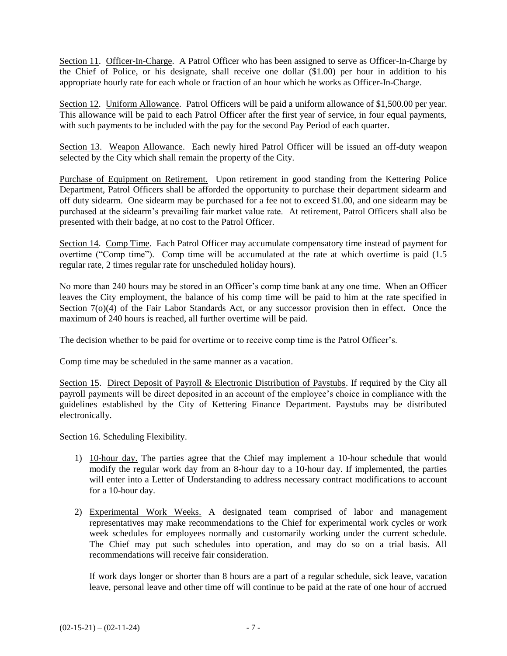Section 11. Officer-In-Charge. A Patrol Officer who has been assigned to serve as Officer-In-Charge by the Chief of Police, or his designate, shall receive one dollar (\$1.00) per hour in addition to his appropriate hourly rate for each whole or fraction of an hour which he works as Officer-In-Charge.

Section 12. Uniform Allowance. Patrol Officers will be paid a uniform allowance of \$1,500.00 per year. This allowance will be paid to each Patrol Officer after the first year of service, in four equal payments, with such payments to be included with the pay for the second Pay Period of each quarter.

Section 13. Weapon Allowance. Each newly hired Patrol Officer will be issued an off-duty weapon selected by the City which shall remain the property of the City.

Purchase of Equipment on Retirement. Upon retirement in good standing from the Kettering Police Department, Patrol Officers shall be afforded the opportunity to purchase their department sidearm and off duty sidearm. One sidearm may be purchased for a fee not to exceed \$1.00, and one sidearm may be purchased at the sidearm's prevailing fair market value rate. At retirement, Patrol Officers shall also be presented with their badge, at no cost to the Patrol Officer.

Section 14. Comp Time. Each Patrol Officer may accumulate compensatory time instead of payment for overtime ("Comp time"). Comp time will be accumulated at the rate at which overtime is paid (1.5 regular rate, 2 times regular rate for unscheduled holiday hours).

No more than 240 hours may be stored in an Officer's comp time bank at any one time. When an Officer leaves the City employment, the balance of his comp time will be paid to him at the rate specified in Section 7(o)(4) of the Fair Labor Standards Act, or any successor provision then in effect. Once the maximum of 240 hours is reached, all further overtime will be paid.

The decision whether to be paid for overtime or to receive comp time is the Patrol Officer's.

Comp time may be scheduled in the same manner as a vacation.

Section 15. Direct Deposit of Payroll & Electronic Distribution of Paystubs. If required by the City all payroll payments will be direct deposited in an account of the employee's choice in compliance with the guidelines established by the City of Kettering Finance Department. Paystubs may be distributed electronically.

Section 16. Scheduling Flexibility.

- 1) 10-hour day. The parties agree that the Chief may implement a 10-hour schedule that would modify the regular work day from an 8-hour day to a 10-hour day. If implemented, the parties will enter into a Letter of Understanding to address necessary contract modifications to account for a 10-hour day.
- 2) Experimental Work Weeks. A designated team comprised of labor and management representatives may make recommendations to the Chief for experimental work cycles or work week schedules for employees normally and customarily working under the current schedule. The Chief may put such schedules into operation, and may do so on a trial basis. All recommendations will receive fair consideration.

If work days longer or shorter than 8 hours are a part of a regular schedule, sick leave, vacation leave, personal leave and other time off will continue to be paid at the rate of one hour of accrued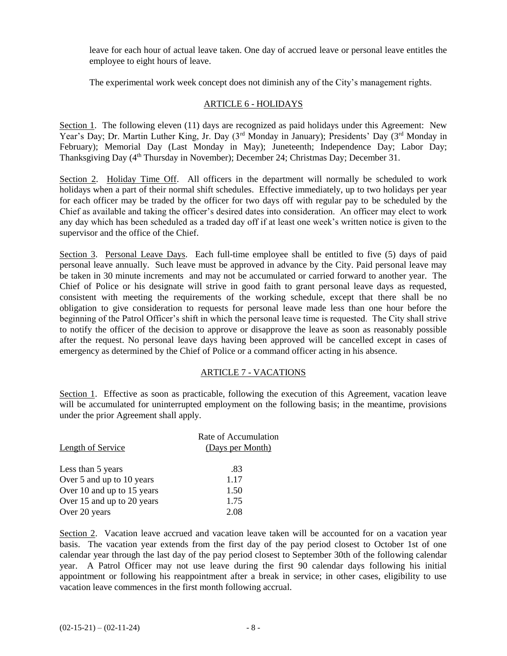leave for each hour of actual leave taken. One day of accrued leave or personal leave entitles the employee to eight hours of leave.

The experimental work week concept does not diminish any of the City's management rights.

#### ARTICLE 6 - HOLIDAYS

Section 1. The following eleven (11) days are recognized as paid holidays under this Agreement: New Year's Day; Dr. Martin Luther King, Jr. Day (3<sup>rd</sup> Monday in January); Presidents' Day (3<sup>rd</sup> Monday in February); Memorial Day (Last Monday in May); Juneteenth; Independence Day; Labor Day; Thanksgiving Day (4<sup>th</sup> Thursday in November); December 24; Christmas Day; December 31.

Section 2. Holiday Time Off. All officers in the department will normally be scheduled to work holidays when a part of their normal shift schedules. Effective immediately, up to two holidays per year for each officer may be traded by the officer for two days off with regular pay to be scheduled by the Chief as available and taking the officer's desired dates into consideration. An officer may elect to work any day which has been scheduled as a traded day off if at least one week's written notice is given to the supervisor and the office of the Chief.

Section 3. Personal Leave Days. Each full-time employee shall be entitled to five (5) days of paid personal leave annually. Such leave must be approved in advance by the City. Paid personal leave may be taken in 30 minute increments and may not be accumulated or carried forward to another year. The Chief of Police or his designate will strive in good faith to grant personal leave days as requested, consistent with meeting the requirements of the working schedule, except that there shall be no obligation to give consideration to requests for personal leave made less than one hour before the beginning of the Patrol Officer's shift in which the personal leave time is requested. The City shall strive to notify the officer of the decision to approve or disapprove the leave as soon as reasonably possible after the request. No personal leave days having been approved will be cancelled except in cases of emergency as determined by the Chief of Police or a command officer acting in his absence.

#### ARTICLE 7 - VACATIONS

Section 1. Effective as soon as practicable, following the execution of this Agreement, vacation leave will be accumulated for uninterrupted employment on the following basis; in the meantime, provisions under the prior Agreement shall apply.

| Length of Service          | Rate of Accumulation<br>(Days per Month) |
|----------------------------|------------------------------------------|
| Less than 5 years          | .83                                      |
| Over 5 and up to 10 years  | 1.17                                     |
| Over 10 and up to 15 years | 1.50                                     |
| Over 15 and up to 20 years | 1.75                                     |
| Over 20 years              | 2.08                                     |

Section 2. Vacation leave accrued and vacation leave taken will be accounted for on a vacation year basis. The vacation year extends from the first day of the pay period closest to October 1st of one calendar year through the last day of the pay period closest to September 30th of the following calendar year. A Patrol Officer may not use leave during the first 90 calendar days following his initial appointment or following his reappointment after a break in service; in other cases, eligibility to use vacation leave commences in the first month following accrual.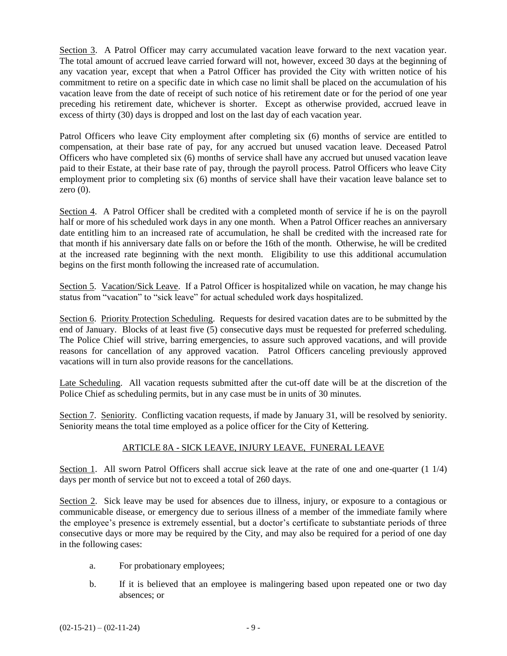Section 3. A Patrol Officer may carry accumulated vacation leave forward to the next vacation year. The total amount of accrued leave carried forward will not, however, exceed 30 days at the beginning of any vacation year, except that when a Patrol Officer has provided the City with written notice of his commitment to retire on a specific date in which case no limit shall be placed on the accumulation of his vacation leave from the date of receipt of such notice of his retirement date or for the period of one year preceding his retirement date, whichever is shorter. Except as otherwise provided, accrued leave in excess of thirty (30) days is dropped and lost on the last day of each vacation year.

Patrol Officers who leave City employment after completing six (6) months of service are entitled to compensation, at their base rate of pay, for any accrued but unused vacation leave. Deceased Patrol Officers who have completed six (6) months of service shall have any accrued but unused vacation leave paid to their Estate, at their base rate of pay, through the payroll process. Patrol Officers who leave City employment prior to completing six (6) months of service shall have their vacation leave balance set to zero  $(0)$ .

Section 4. A Patrol Officer shall be credited with a completed month of service if he is on the payroll half or more of his scheduled work days in any one month. When a Patrol Officer reaches an anniversary date entitling him to an increased rate of accumulation, he shall be credited with the increased rate for that month if his anniversary date falls on or before the 16th of the month. Otherwise, he will be credited at the increased rate beginning with the next month. Eligibility to use this additional accumulation begins on the first month following the increased rate of accumulation.

Section 5. Vacation/Sick Leave. If a Patrol Officer is hospitalized while on vacation, he may change his status from "vacation" to "sick leave" for actual scheduled work days hospitalized.

Section 6. Priority Protection Scheduling. Requests for desired vacation dates are to be submitted by the end of January. Blocks of at least five (5) consecutive days must be requested for preferred scheduling. The Police Chief will strive, barring emergencies, to assure such approved vacations, and will provide reasons for cancellation of any approved vacation. Patrol Officers canceling previously approved vacations will in turn also provide reasons for the cancellations.

Late Scheduling. All vacation requests submitted after the cut-off date will be at the discretion of the Police Chief as scheduling permits, but in any case must be in units of 30 minutes.

Section 7. Seniority. Conflicting vacation requests, if made by January 31, will be resolved by seniority. Seniority means the total time employed as a police officer for the City of Kettering.

#### ARTICLE 8A - SICK LEAVE, INJURY LEAVE, FUNERAL LEAVE

Section 1. All sworn Patrol Officers shall accrue sick leave at the rate of one and one-quarter (1 1/4) days per month of service but not to exceed a total of 260 days.

Section 2. Sick leave may be used for absences due to illness, injury, or exposure to a contagious or communicable disease, or emergency due to serious illness of a member of the immediate family where the employee's presence is extremely essential, but a doctor's certificate to substantiate periods of three consecutive days or more may be required by the City, and may also be required for a period of one day in the following cases:

- a. For probationary employees;
- b. If it is believed that an employee is malingering based upon repeated one or two day absences; or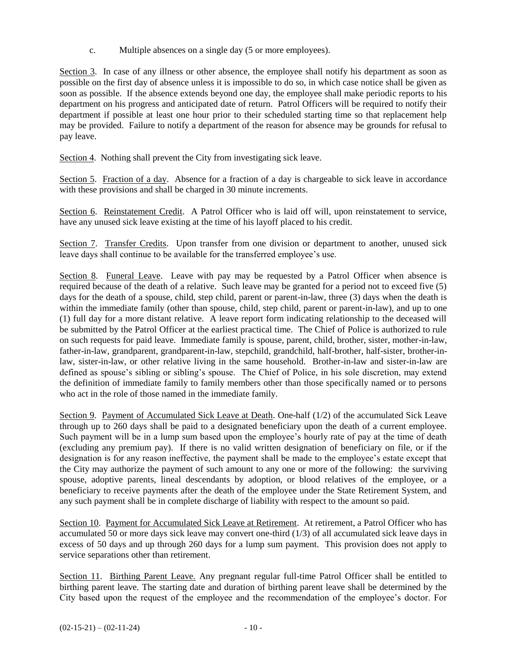c. Multiple absences on a single day (5 or more employees).

Section 3. In case of any illness or other absence, the employee shall notify his department as soon as possible on the first day of absence unless it is impossible to do so, in which case notice shall be given as soon as possible. If the absence extends beyond one day, the employee shall make periodic reports to his department on his progress and anticipated date of return. Patrol Officers will be required to notify their department if possible at least one hour prior to their scheduled starting time so that replacement help may be provided. Failure to notify a department of the reason for absence may be grounds for refusal to pay leave.

Section 4. Nothing shall prevent the City from investigating sick leave.

Section 5. Fraction of a day. Absence for a fraction of a day is chargeable to sick leave in accordance with these provisions and shall be charged in 30 minute increments.

Section 6. Reinstatement Credit. A Patrol Officer who is laid off will, upon reinstatement to service, have any unused sick leave existing at the time of his layoff placed to his credit.

Section 7. Transfer Credits. Upon transfer from one division or department to another, unused sick leave days shall continue to be available for the transferred employee's use.

Section 8. Funeral Leave. Leave with pay may be requested by a Patrol Officer when absence is required because of the death of a relative. Such leave may be granted for a period not to exceed five (5) days for the death of a spouse, child, step child, parent or parent-in-law, three (3) days when the death is within the immediate family (other than spouse, child, step child, parent or parent-in-law), and up to one (1) full day for a more distant relative. A leave report form indicating relationship to the deceased will be submitted by the Patrol Officer at the earliest practical time. The Chief of Police is authorized to rule on such requests for paid leave. Immediate family is spouse, parent, child, brother, sister, mother-in-law, father-in-law, grandparent, grandparent-in-law, stepchild, grandchild, half-brother, half-sister, brother-inlaw, sister-in-law, or other relative living in the same household. Brother-in-law and sister-in-law are defined as spouse's sibling or sibling's spouse. The Chief of Police, in his sole discretion, may extend the definition of immediate family to family members other than those specifically named or to persons who act in the role of those named in the immediate family.

Section 9. Payment of Accumulated Sick Leave at Death. One-half (1/2) of the accumulated Sick Leave through up to 260 days shall be paid to a designated beneficiary upon the death of a current employee. Such payment will be in a lump sum based upon the employee's hourly rate of pay at the time of death (excluding any premium pay). If there is no valid written designation of beneficiary on file, or if the designation is for any reason ineffective, the payment shall be made to the employee's estate except that the City may authorize the payment of such amount to any one or more of the following: the surviving spouse, adoptive parents, lineal descendants by adoption, or blood relatives of the employee, or a beneficiary to receive payments after the death of the employee under the State Retirement System, and any such payment shall be in complete discharge of liability with respect to the amount so paid.

Section 10. Payment for Accumulated Sick Leave at Retirement. At retirement, a Patrol Officer who has accumulated 50 or more days sick leave may convert one-third (1/3) of all accumulated sick leave days in excess of 50 days and up through 260 days for a lump sum payment. This provision does not apply to service separations other than retirement.

Section 11. Birthing Parent Leave. Any pregnant regular full-time Patrol Officer shall be entitled to birthing parent leave. The starting date and duration of birthing parent leave shall be determined by the City based upon the request of the employee and the recommendation of the employee's doctor. For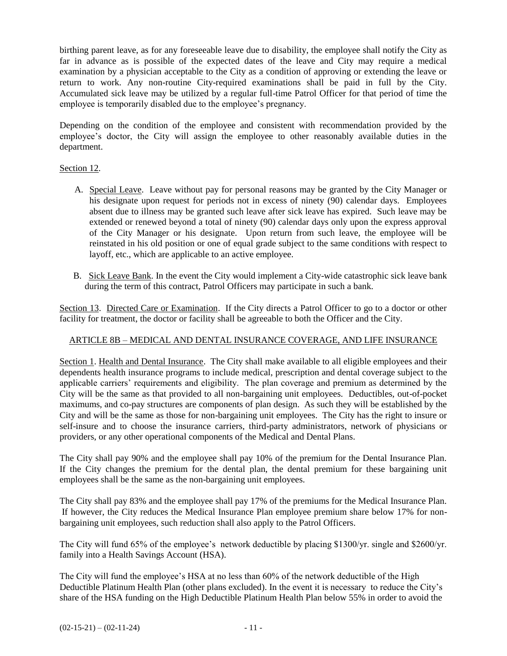birthing parent leave, as for any foreseeable leave due to disability, the employee shall notify the City as far in advance as is possible of the expected dates of the leave and City may require a medical examination by a physician acceptable to the City as a condition of approving or extending the leave or return to work. Any non-routine City-required examinations shall be paid in full by the City. Accumulated sick leave may be utilized by a regular full-time Patrol Officer for that period of time the employee is temporarily disabled due to the employee's pregnancy.

Depending on the condition of the employee and consistent with recommendation provided by the employee's doctor, the City will assign the employee to other reasonably available duties in the department.

#### Section 12.

- A. Special Leave. Leave without pay for personal reasons may be granted by the City Manager or his designate upon request for periods not in excess of ninety (90) calendar days. Employees absent due to illness may be granted such leave after sick leave has expired. Such leave may be extended or renewed beyond a total of ninety (90) calendar days only upon the express approval of the City Manager or his designate. Upon return from such leave, the employee will be reinstated in his old position or one of equal grade subject to the same conditions with respect to layoff, etc., which are applicable to an active employee.
- B. Sick Leave Bank. In the event the City would implement a City-wide catastrophic sick leave bank during the term of this contract, Patrol Officers may participate in such a bank.

Section 13. Directed Care or Examination. If the City directs a Patrol Officer to go to a doctor or other facility for treatment, the doctor or facility shall be agreeable to both the Officer and the City.

#### ARTICLE 8B – MEDICAL AND DENTAL INSURANCE COVERAGE, AND LIFE INSURANCE

Section 1. Health and Dental Insurance. The City shall make available to all eligible employees and their dependents health insurance programs to include medical, prescription and dental coverage subject to the applicable carriers' requirements and eligibility. The plan coverage and premium as determined by the City will be the same as that provided to all non-bargaining unit employees. Deductibles, out-of-pocket maximums, and co-pay structures are components of plan design. As such they will be established by the City and will be the same as those for non-bargaining unit employees. The City has the right to insure or self-insure and to choose the insurance carriers, third-party administrators, network of physicians or providers, or any other operational components of the Medical and Dental Plans.

The City shall pay 90% and the employee shall pay 10% of the premium for the Dental Insurance Plan. If the City changes the premium for the dental plan, the dental premium for these bargaining unit employees shall be the same as the non-bargaining unit employees.

The City shall pay 83% and the employee shall pay 17% of the premiums for the Medical Insurance Plan. If however, the City reduces the Medical Insurance Plan employee premium share below 17% for nonbargaining unit employees, such reduction shall also apply to the Patrol Officers.

The City will fund 65% of the employee's network deductible by placing \$1300/yr. single and \$2600/yr. family into a Health Savings Account (HSA).

The City will fund the employee's HSA at no less than 60% of the network deductible of the High Deductible Platinum Health Plan (other plans excluded). In the event it is necessary to reduce the City's share of the HSA funding on the High Deductible Platinum Health Plan below 55% in order to avoid the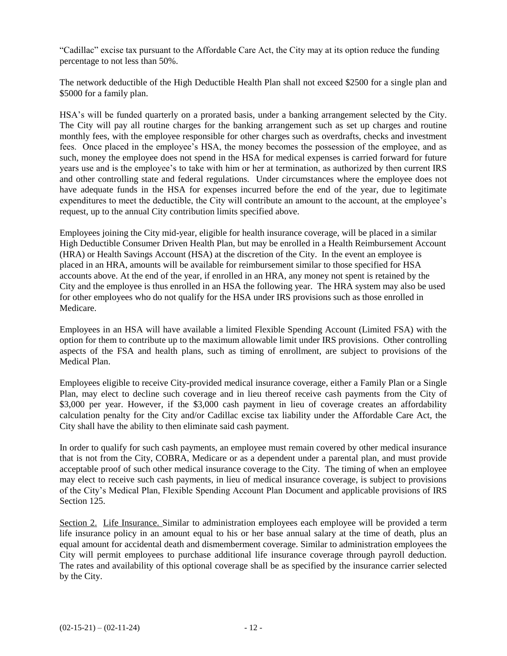"Cadillac" excise tax pursuant to the Affordable Care Act, the City may at its option reduce the funding percentage to not less than 50%.

The network deductible of the High Deductible Health Plan shall not exceed \$2500 for a single plan and \$5000 for a family plan.

HSA's will be funded quarterly on a prorated basis, under a banking arrangement selected by the City. The City will pay all routine charges for the banking arrangement such as set up charges and routine monthly fees, with the employee responsible for other charges such as overdrafts, checks and investment fees. Once placed in the employee's HSA, the money becomes the possession of the employee, and as such, money the employee does not spend in the HSA for medical expenses is carried forward for future years use and is the employee's to take with him or her at termination, as authorized by then current IRS and other controlling state and federal regulations. Under circumstances where the employee does not have adequate funds in the HSA for expenses incurred before the end of the year, due to legitimate expenditures to meet the deductible, the City will contribute an amount to the account, at the employee's request, up to the annual City contribution limits specified above.

Employees joining the City mid-year, eligible for health insurance coverage, will be placed in a similar High Deductible Consumer Driven Health Plan, but may be enrolled in a Health Reimbursement Account (HRA) or Health Savings Account (HSA) at the discretion of the City. In the event an employee is placed in an HRA, amounts will be available for reimbursement similar to those specified for HSA accounts above. At the end of the year, if enrolled in an HRA, any money not spent is retained by the City and the employee is thus enrolled in an HSA the following year. The HRA system may also be used for other employees who do not qualify for the HSA under IRS provisions such as those enrolled in Medicare.

Employees in an HSA will have available a limited Flexible Spending Account (Limited FSA) with the option for them to contribute up to the maximum allowable limit under IRS provisions. Other controlling aspects of the FSA and health plans, such as timing of enrollment, are subject to provisions of the Medical Plan.

Employees eligible to receive City-provided medical insurance coverage, either a Family Plan or a Single Plan, may elect to decline such coverage and in lieu thereof receive cash payments from the City of \$3,000 per year. However, if the \$3,000 cash payment in lieu of coverage creates an affordability calculation penalty for the City and/or Cadillac excise tax liability under the Affordable Care Act, the City shall have the ability to then eliminate said cash payment.

In order to qualify for such cash payments, an employee must remain covered by other medical insurance that is not from the City, COBRA, Medicare or as a dependent under a parental plan, and must provide acceptable proof of such other medical insurance coverage to the City. The timing of when an employee may elect to receive such cash payments, in lieu of medical insurance coverage, is subject to provisions of the City's Medical Plan, Flexible Spending Account Plan Document and applicable provisions of IRS Section 125.

Section 2. Life Insurance. Similar to administration employees each employee will be provided a term life insurance policy in an amount equal to his or her base annual salary at the time of death, plus an equal amount for accidental death and dismemberment coverage. Similar to administration employees the City will permit employees to purchase additional life insurance coverage through payroll deduction. The rates and availability of this optional coverage shall be as specified by the insurance carrier selected by the City.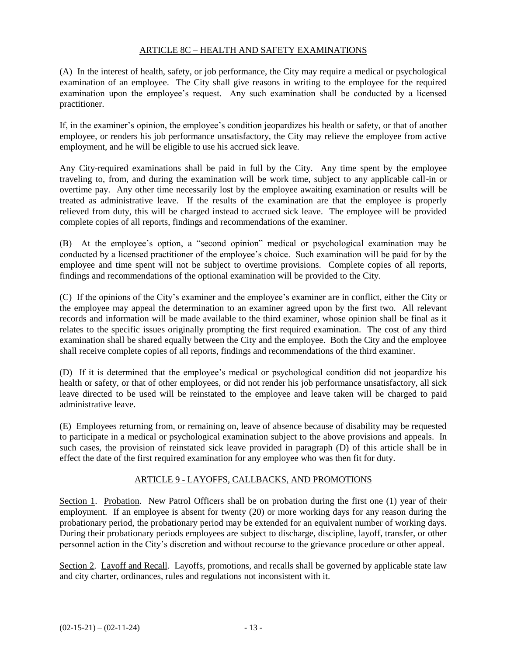#### ARTICLE 8C – HEALTH AND SAFETY EXAMINATIONS

(A) In the interest of health, safety, or job performance, the City may require a medical or psychological examination of an employee. The City shall give reasons in writing to the employee for the required examination upon the employee's request. Any such examination shall be conducted by a licensed practitioner.

If, in the examiner's opinion, the employee's condition jeopardizes his health or safety, or that of another employee, or renders his job performance unsatisfactory, the City may relieve the employee from active employment, and he will be eligible to use his accrued sick leave.

Any City-required examinations shall be paid in full by the City. Any time spent by the employee traveling to, from, and during the examination will be work time, subject to any applicable call-in or overtime pay. Any other time necessarily lost by the employee awaiting examination or results will be treated as administrative leave. If the results of the examination are that the employee is properly relieved from duty, this will be charged instead to accrued sick leave. The employee will be provided complete copies of all reports, findings and recommendations of the examiner.

(B) At the employee's option, a "second opinion" medical or psychological examination may be conducted by a licensed practitioner of the employee's choice. Such examination will be paid for by the employee and time spent will not be subject to overtime provisions. Complete copies of all reports, findings and recommendations of the optional examination will be provided to the City.

(C) If the opinions of the City's examiner and the employee's examiner are in conflict, either the City or the employee may appeal the determination to an examiner agreed upon by the first two. All relevant records and information will be made available to the third examiner, whose opinion shall be final as it relates to the specific issues originally prompting the first required examination. The cost of any third examination shall be shared equally between the City and the employee. Both the City and the employee shall receive complete copies of all reports, findings and recommendations of the third examiner.

(D) If it is determined that the employee's medical or psychological condition did not jeopardize his health or safety, or that of other employees, or did not render his job performance unsatisfactory, all sick leave directed to be used will be reinstated to the employee and leave taken will be charged to paid administrative leave.

(E) Employees returning from, or remaining on, leave of absence because of disability may be requested to participate in a medical or psychological examination subject to the above provisions and appeals. In such cases, the provision of reinstated sick leave provided in paragraph (D) of this article shall be in effect the date of the first required examination for any employee who was then fit for duty.

#### ARTICLE 9 - LAYOFFS, CALLBACKS, AND PROMOTIONS

Section 1. Probation. New Patrol Officers shall be on probation during the first one (1) year of their employment. If an employee is absent for twenty (20) or more working days for any reason during the probationary period, the probationary period may be extended for an equivalent number of working days. During their probationary periods employees are subject to discharge, discipline, layoff, transfer, or other personnel action in the City's discretion and without recourse to the grievance procedure or other appeal.

Section 2. Layoff and Recall. Layoffs, promotions, and recalls shall be governed by applicable state law and city charter, ordinances, rules and regulations not inconsistent with it.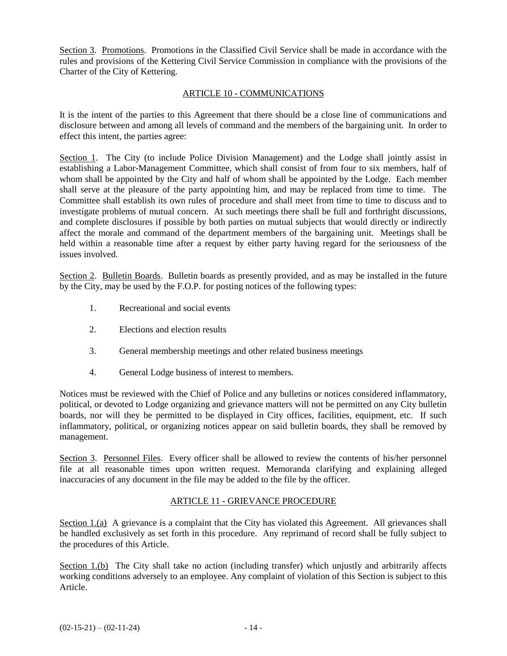Section 3. Promotions. Promotions in the Classified Civil Service shall be made in accordance with the rules and provisions of the Kettering Civil Service Commission in compliance with the provisions of the Charter of the City of Kettering.

#### ARTICLE 10 - COMMUNICATIONS

It is the intent of the parties to this Agreement that there should be a close line of communications and disclosure between and among all levels of command and the members of the bargaining unit. In order to effect this intent, the parties agree:

Section 1. The City (to include Police Division Management) and the Lodge shall jointly assist in establishing a Labor-Management Committee, which shall consist of from four to six members, half of whom shall be appointed by the City and half of whom shall be appointed by the Lodge. Each member shall serve at the pleasure of the party appointing him, and may be replaced from time to time. The Committee shall establish its own rules of procedure and shall meet from time to time to discuss and to investigate problems of mutual concern. At such meetings there shall be full and forthright discussions, and complete disclosures if possible by both parties on mutual subjects that would directly or indirectly affect the morale and command of the department members of the bargaining unit. Meetings shall be held within a reasonable time after a request by either party having regard for the seriousness of the issues involved.

Section 2. Bulletin Boards. Bulletin boards as presently provided, and as may be installed in the future by the City, may be used by the F.O.P. for posting notices of the following types:

- 1. Recreational and social events
- 2. Elections and election results
- 3. General membership meetings and other related business meetings
- 4. General Lodge business of interest to members.

Notices must be reviewed with the Chief of Police and any bulletins or notices considered inflammatory, political, or devoted to Lodge organizing and grievance matters will not be permitted on any City bulletin boards, nor will they be permitted to be displayed in City offices, facilities, equipment, etc. If such inflammatory, political, or organizing notices appear on said bulletin boards, they shall be removed by management.

Section 3. Personnel Files. Every officer shall be allowed to review the contents of his/her personnel file at all reasonable times upon written request. Memoranda clarifying and explaining alleged inaccuracies of any document in the file may be added to the file by the officer.

#### ARTICLE 11 - GRIEVANCE PROCEDURE

Section 1.(a) A grievance is a complaint that the City has violated this Agreement. All grievances shall be handled exclusively as set forth in this procedure. Any reprimand of record shall be fully subject to the procedures of this Article.

Section 1.(b) The City shall take no action (including transfer) which unjustly and arbitrarily affects working conditions adversely to an employee. Any complaint of violation of this Section is subject to this Article.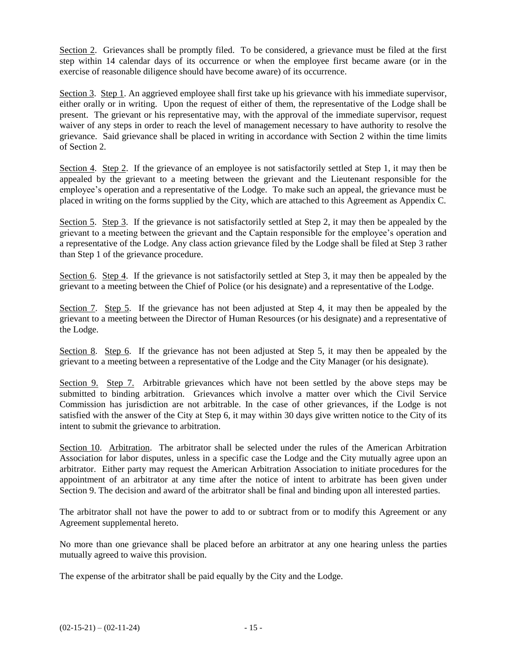Section 2. Grievances shall be promptly filed. To be considered, a grievance must be filed at the first step within 14 calendar days of its occurrence or when the employee first became aware (or in the exercise of reasonable diligence should have become aware) of its occurrence.

Section 3. Step 1. An aggrieved employee shall first take up his grievance with his immediate supervisor, either orally or in writing. Upon the request of either of them, the representative of the Lodge shall be present. The grievant or his representative may, with the approval of the immediate supervisor, request waiver of any steps in order to reach the level of management necessary to have authority to resolve the grievance. Said grievance shall be placed in writing in accordance with Section 2 within the time limits of Section 2.

Section 4. Step 2. If the grievance of an employee is not satisfactorily settled at Step 1, it may then be appealed by the grievant to a meeting between the grievant and the Lieutenant responsible for the employee's operation and a representative of the Lodge. To make such an appeal, the grievance must be placed in writing on the forms supplied by the City, which are attached to this Agreement as Appendix C.

Section 5. Step 3. If the grievance is not satisfactorily settled at Step 2, it may then be appealed by the grievant to a meeting between the grievant and the Captain responsible for the employee's operation and a representative of the Lodge. Any class action grievance filed by the Lodge shall be filed at Step 3 rather than Step 1 of the grievance procedure.

Section 6. Step 4. If the grievance is not satisfactorily settled at Step 3, it may then be appealed by the grievant to a meeting between the Chief of Police (or his designate) and a representative of the Lodge.

Section 7. Step 5. If the grievance has not been adjusted at Step 4, it may then be appealed by the grievant to a meeting between the Director of Human Resources (or his designate) and a representative of the Lodge.

Section 8. Step 6. If the grievance has not been adjusted at Step 5, it may then be appealed by the grievant to a meeting between a representative of the Lodge and the City Manager (or his designate).

Section 9. Step 7. Arbitrable grievances which have not been settled by the above steps may be submitted to binding arbitration. Grievances which involve a matter over which the Civil Service Commission has jurisdiction are not arbitrable. In the case of other grievances, if the Lodge is not satisfied with the answer of the City at Step 6, it may within 30 days give written notice to the City of its intent to submit the grievance to arbitration.

Section 10. Arbitration. The arbitrator shall be selected under the rules of the American Arbitration Association for labor disputes, unless in a specific case the Lodge and the City mutually agree upon an arbitrator. Either party may request the American Arbitration Association to initiate procedures for the appointment of an arbitrator at any time after the notice of intent to arbitrate has been given under Section 9. The decision and award of the arbitrator shall be final and binding upon all interested parties.

The arbitrator shall not have the power to add to or subtract from or to modify this Agreement or any Agreement supplemental hereto.

No more than one grievance shall be placed before an arbitrator at any one hearing unless the parties mutually agreed to waive this provision.

The expense of the arbitrator shall be paid equally by the City and the Lodge.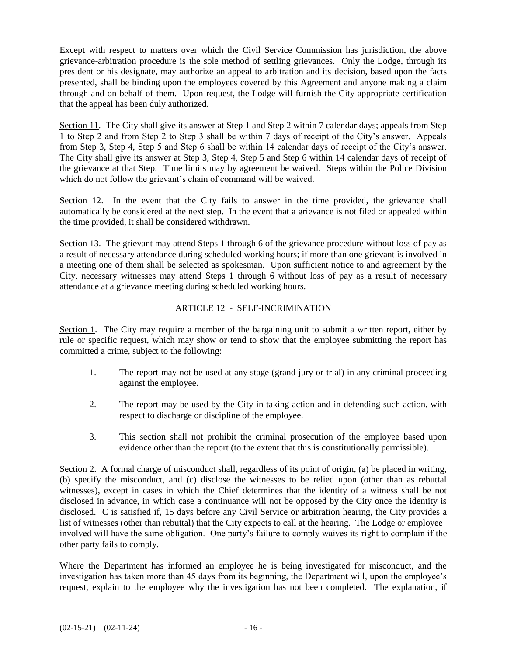Except with respect to matters over which the Civil Service Commission has jurisdiction, the above grievance-arbitration procedure is the sole method of settling grievances. Only the Lodge, through its president or his designate, may authorize an appeal to arbitration and its decision, based upon the facts presented, shall be binding upon the employees covered by this Agreement and anyone making a claim through and on behalf of them. Upon request, the Lodge will furnish the City appropriate certification that the appeal has been duly authorized.

Section 11. The City shall give its answer at Step 1 and Step 2 within 7 calendar days; appeals from Step 1 to Step 2 and from Step 2 to Step 3 shall be within 7 days of receipt of the City's answer. Appeals from Step 3, Step 4, Step 5 and Step 6 shall be within 14 calendar days of receipt of the City's answer. The City shall give its answer at Step 3, Step 4, Step 5 and Step 6 within 14 calendar days of receipt of the grievance at that Step. Time limits may by agreement be waived. Steps within the Police Division which do not follow the grievant's chain of command will be waived.

Section 12. In the event that the City fails to answer in the time provided, the grievance shall automatically be considered at the next step. In the event that a grievance is not filed or appealed within the time provided, it shall be considered withdrawn.

Section 13. The grievant may attend Steps 1 through 6 of the grievance procedure without loss of pay as a result of necessary attendance during scheduled working hours; if more than one grievant is involved in a meeting one of them shall be selected as spokesman. Upon sufficient notice to and agreement by the City, necessary witnesses may attend Steps 1 through 6 without loss of pay as a result of necessary attendance at a grievance meeting during scheduled working hours.

#### ARTICLE 12 - SELF-INCRIMINATION

Section 1. The City may require a member of the bargaining unit to submit a written report, either by rule or specific request, which may show or tend to show that the employee submitting the report has committed a crime, subject to the following:

- 1. The report may not be used at any stage (grand jury or trial) in any criminal proceeding against the employee.
- 2. The report may be used by the City in taking action and in defending such action, with respect to discharge or discipline of the employee.
- 3. This section shall not prohibit the criminal prosecution of the employee based upon evidence other than the report (to the extent that this is constitutionally permissible).

Section 2. A formal charge of misconduct shall, regardless of its point of origin, (a) be placed in writing, (b) specify the misconduct, and (c) disclose the witnesses to be relied upon (other than as rebuttal witnesses), except in cases in which the Chief determines that the identity of a witness shall be not disclosed in advance, in which case a continuance will not be opposed by the City once the identity is disclosed. C is satisfied if, 15 days before any Civil Service or arbitration hearing, the City provides a list of witnesses (other than rebuttal) that the City expects to call at the hearing. The Lodge or employee involved will have the same obligation. One party's failure to comply waives its right to complain if the other party fails to comply.

Where the Department has informed an employee he is being investigated for misconduct, and the investigation has taken more than 45 days from its beginning, the Department will, upon the employee's request, explain to the employee why the investigation has not been completed. The explanation, if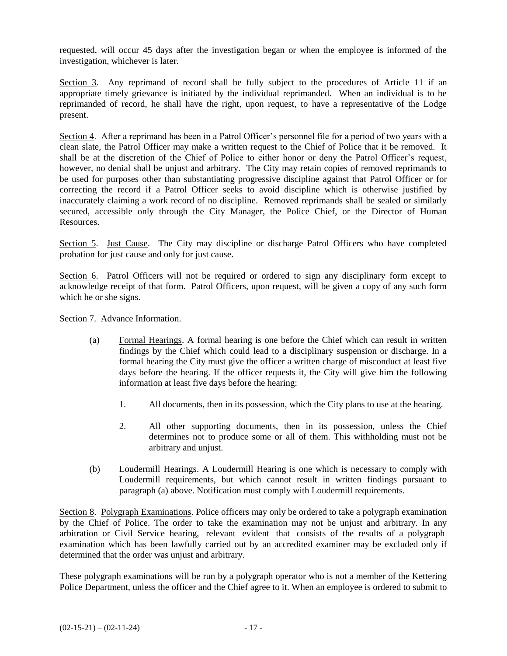requested, will occur 45 days after the investigation began or when the employee is informed of the investigation, whichever is later.

Section 3. Any reprimand of record shall be fully subject to the procedures of Article 11 if an appropriate timely grievance is initiated by the individual reprimanded. When an individual is to be reprimanded of record, he shall have the right, upon request, to have a representative of the Lodge present.

Section 4. After a reprimand has been in a Patrol Officer's personnel file for a period of two years with a clean slate, the Patrol Officer may make a written request to the Chief of Police that it be removed. It shall be at the discretion of the Chief of Police to either honor or deny the Patrol Officer's request, however, no denial shall be unjust and arbitrary. The City may retain copies of removed reprimands to be used for purposes other than substantiating progressive discipline against that Patrol Officer or for correcting the record if a Patrol Officer seeks to avoid discipline which is otherwise justified by inaccurately claiming a work record of no discipline. Removed reprimands shall be sealed or similarly secured, accessible only through the City Manager, the Police Chief, or the Director of Human Resources.

Section 5. Just Cause. The City may discipline or discharge Patrol Officers who have completed probation for just cause and only for just cause.

Section 6. Patrol Officers will not be required or ordered to sign any disciplinary form except to acknowledge receipt of that form. Patrol Officers, upon request, will be given a copy of any such form which he or she signs.

Section 7. Advance Information.

- (a) Formal Hearings. A formal hearing is one before the Chief which can result in written findings by the Chief which could lead to a disciplinary suspension or discharge. In a formal hearing the City must give the officer a written charge of misconduct at least five days before the hearing. If the officer requests it, the City will give him the following information at least five days before the hearing:
	- 1. All documents, then in its possession, which the City plans to use at the hearing.
	- 2. All other supporting documents, then in its possession, unless the Chief determines not to produce some or all of them. This withholding must not be arbitrary and unjust.
- (b) Loudermill Hearings. A Loudermill Hearing is one which is necessary to comply with Loudermill requirements, but which cannot result in written findings pursuant to paragraph (a) above. Notification must comply with Loudermill requirements.

Section 8. Polygraph Examinations. Police officers may only be ordered to take a polygraph examination by the Chief of Police. The order to take the examination may not be unjust and arbitrary. In any arbitration or Civil Service hearing, relevant evident that consists of the results of a polygraph examination which has been lawfully carried out by an accredited examiner may be excluded only if determined that the order was unjust and arbitrary.

These polygraph examinations will be run by a polygraph operator who is not a member of the Kettering Police Department, unless the officer and the Chief agree to it. When an employee is ordered to submit to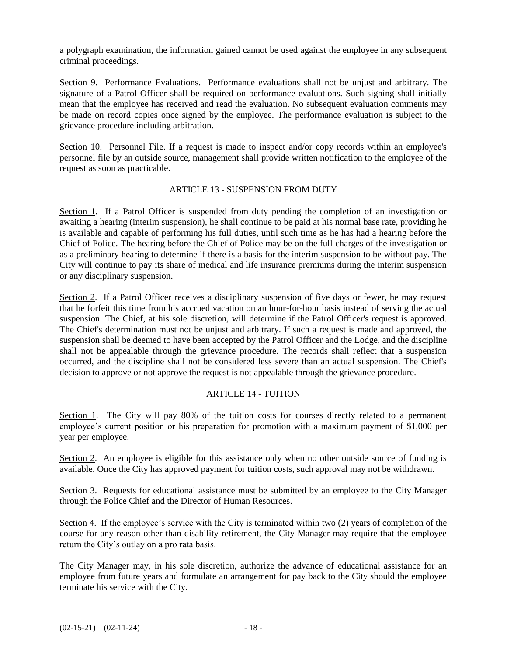a polygraph examination, the information gained cannot be used against the employee in any subsequent criminal proceedings.

Section 9. Performance Evaluations. Performance evaluations shall not be unjust and arbitrary. The signature of a Patrol Officer shall be required on performance evaluations. Such signing shall initially mean that the employee has received and read the evaluation. No subsequent evaluation comments may be made on record copies once signed by the employee. The performance evaluation is subject to the grievance procedure including arbitration.

Section 10. Personnel File. If a request is made to inspect and/or copy records within an employee's personnel file by an outside source, management shall provide written notification to the employee of the request as soon as practicable.

#### ARTICLE 13 - SUSPENSION FROM DUTY

Section 1. If a Patrol Officer is suspended from duty pending the completion of an investigation or awaiting a hearing (interim suspension), he shall continue to be paid at his normal base rate, providing he is available and capable of performing his full duties, until such time as he has had a hearing before the Chief of Police. The hearing before the Chief of Police may be on the full charges of the investigation or as a preliminary hearing to determine if there is a basis for the interim suspension to be without pay. The City will continue to pay its share of medical and life insurance premiums during the interim suspension or any disciplinary suspension.

Section 2. If a Patrol Officer receives a disciplinary suspension of five days or fewer, he may request that he forfeit this time from his accrued vacation on an hour-for-hour basis instead of serving the actual suspension. The Chief, at his sole discretion, will determine if the Patrol Officer's request is approved. The Chief's determination must not be unjust and arbitrary. If such a request is made and approved, the suspension shall be deemed to have been accepted by the Patrol Officer and the Lodge, and the discipline shall not be appealable through the grievance procedure. The records shall reflect that a suspension occurred, and the discipline shall not be considered less severe than an actual suspension. The Chief's decision to approve or not approve the request is not appealable through the grievance procedure.

#### ARTICLE 14 - TUITION

Section 1. The City will pay 80% of the tuition costs for courses directly related to a permanent employee's current position or his preparation for promotion with a maximum payment of \$1,000 per year per employee.

Section 2. An employee is eligible for this assistance only when no other outside source of funding is available. Once the City has approved payment for tuition costs, such approval may not be withdrawn.

Section 3. Requests for educational assistance must be submitted by an employee to the City Manager through the Police Chief and the Director of Human Resources.

Section 4. If the employee's service with the City is terminated within two (2) years of completion of the course for any reason other than disability retirement, the City Manager may require that the employee return the City's outlay on a pro rata basis.

The City Manager may, in his sole discretion, authorize the advance of educational assistance for an employee from future years and formulate an arrangement for pay back to the City should the employee terminate his service with the City.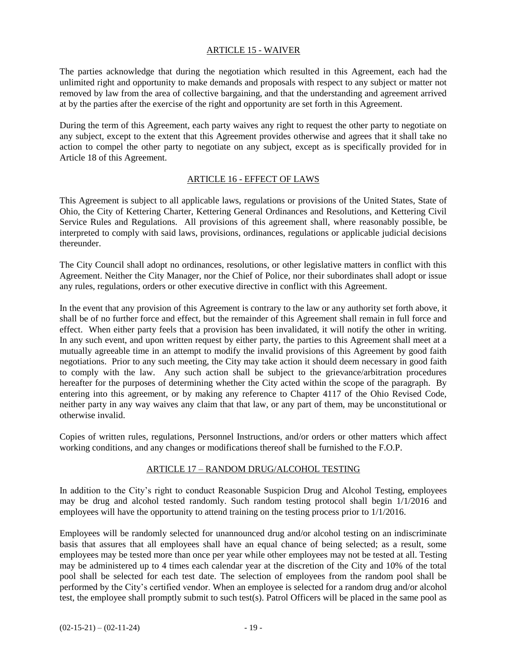#### ARTICLE 15 - WAIVER

The parties acknowledge that during the negotiation which resulted in this Agreement, each had the unlimited right and opportunity to make demands and proposals with respect to any subject or matter not removed by law from the area of collective bargaining, and that the understanding and agreement arrived at by the parties after the exercise of the right and opportunity are set forth in this Agreement.

During the term of this Agreement, each party waives any right to request the other party to negotiate on any subject, except to the extent that this Agreement provides otherwise and agrees that it shall take no action to compel the other party to negotiate on any subject, except as is specifically provided for in Article 18 of this Agreement.

#### ARTICLE 16 - EFFECT OF LAWS

This Agreement is subject to all applicable laws, regulations or provisions of the United States, State of Ohio, the City of Kettering Charter, Kettering General Ordinances and Resolutions, and Kettering Civil Service Rules and Regulations. All provisions of this agreement shall, where reasonably possible, be interpreted to comply with said laws, provisions, ordinances, regulations or applicable judicial decisions thereunder.

The City Council shall adopt no ordinances, resolutions, or other legislative matters in conflict with this Agreement. Neither the City Manager, nor the Chief of Police, nor their subordinates shall adopt or issue any rules, regulations, orders or other executive directive in conflict with this Agreement.

In the event that any provision of this Agreement is contrary to the law or any authority set forth above, it shall be of no further force and effect, but the remainder of this Agreement shall remain in full force and effect. When either party feels that a provision has been invalidated, it will notify the other in writing. In any such event, and upon written request by either party, the parties to this Agreement shall meet at a mutually agreeable time in an attempt to modify the invalid provisions of this Agreement by good faith negotiations. Prior to any such meeting, the City may take action it should deem necessary in good faith to comply with the law. Any such action shall be subject to the grievance/arbitration procedures hereafter for the purposes of determining whether the City acted within the scope of the paragraph. By entering into this agreement, or by making any reference to Chapter 4117 of the Ohio Revised Code, neither party in any way waives any claim that that law, or any part of them, may be unconstitutional or otherwise invalid.

Copies of written rules, regulations, Personnel Instructions, and/or orders or other matters which affect working conditions, and any changes or modifications thereof shall be furnished to the F.O.P.

#### ARTICLE 17 – RANDOM DRUG/ALCOHOL TESTING

In addition to the City's right to conduct Reasonable Suspicion Drug and Alcohol Testing, employees may be drug and alcohol tested randomly. Such random testing protocol shall begin 1/1/2016 and employees will have the opportunity to attend training on the testing process prior to 1/1/2016.

Employees will be randomly selected for unannounced drug and/or alcohol testing on an indiscriminate basis that assures that all employees shall have an equal chance of being selected; as a result, some employees may be tested more than once per year while other employees may not be tested at all. Testing may be administered up to 4 times each calendar year at the discretion of the City and 10% of the total pool shall be selected for each test date. The selection of employees from the random pool shall be performed by the City's certified vendor. When an employee is selected for a random drug and/or alcohol test, the employee shall promptly submit to such test(s). Patrol Officers will be placed in the same pool as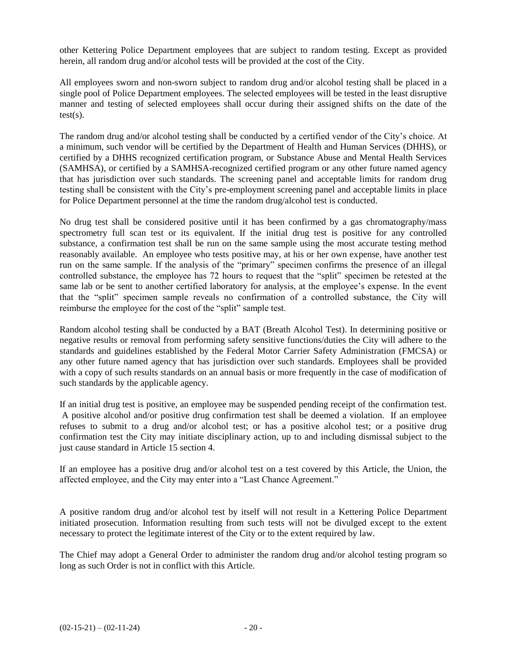other Kettering Police Department employees that are subject to random testing. Except as provided herein, all random drug and/or alcohol tests will be provided at the cost of the City.

All employees sworn and non-sworn subject to random drug and/or alcohol testing shall be placed in a single pool of Police Department employees. The selected employees will be tested in the least disruptive manner and testing of selected employees shall occur during their assigned shifts on the date of the  $test(s)$ .

The random drug and/or alcohol testing shall be conducted by a certified vendor of the City's choice. At a minimum, such vendor will be certified by the Department of Health and Human Services (DHHS), or certified by a DHHS recognized certification program, or Substance Abuse and Mental Health Services (SAMHSA), or certified by a SAMHSA-recognized certified program or any other future named agency that has jurisdiction over such standards. The screening panel and acceptable limits for random drug testing shall be consistent with the City's pre-employment screening panel and acceptable limits in place for Police Department personnel at the time the random drug/alcohol test is conducted.

No drug test shall be considered positive until it has been confirmed by a gas chromatography/mass spectrometry full scan test or its equivalent. If the initial drug test is positive for any controlled substance, a confirmation test shall be run on the same sample using the most accurate testing method reasonably available. An employee who tests positive may, at his or her own expense, have another test run on the same sample. If the analysis of the "primary" specimen confirms the presence of an illegal controlled substance, the employee has 72 hours to request that the "split" specimen be retested at the same lab or be sent to another certified laboratory for analysis, at the employee's expense. In the event that the "split" specimen sample reveals no confirmation of a controlled substance, the City will reimburse the employee for the cost of the "split" sample test.

Random alcohol testing shall be conducted by a BAT (Breath Alcohol Test). In determining positive or negative results or removal from performing safety sensitive functions/duties the City will adhere to the standards and guidelines established by the Federal Motor Carrier Safety Administration (FMCSA) or any other future named agency that has jurisdiction over such standards. Employees shall be provided with a copy of such results standards on an annual basis or more frequently in the case of modification of such standards by the applicable agency.

If an initial drug test is positive, an employee may be suspended pending receipt of the confirmation test. A positive alcohol and/or positive drug confirmation test shall be deemed a violation. If an employee refuses to submit to a drug and/or alcohol test; or has a positive alcohol test; or a positive drug confirmation test the City may initiate disciplinary action, up to and including dismissal subject to the just cause standard in Article 15 section 4.

If an employee has a positive drug and/or alcohol test on a test covered by this Article, the Union, the affected employee, and the City may enter into a "Last Chance Agreement."

A positive random drug and/or alcohol test by itself will not result in a Kettering Police Department initiated prosecution. Information resulting from such tests will not be divulged except to the extent necessary to protect the legitimate interest of the City or to the extent required by law.

The Chief may adopt a General Order to administer the random drug and/or alcohol testing program so long as such Order is not in conflict with this Article.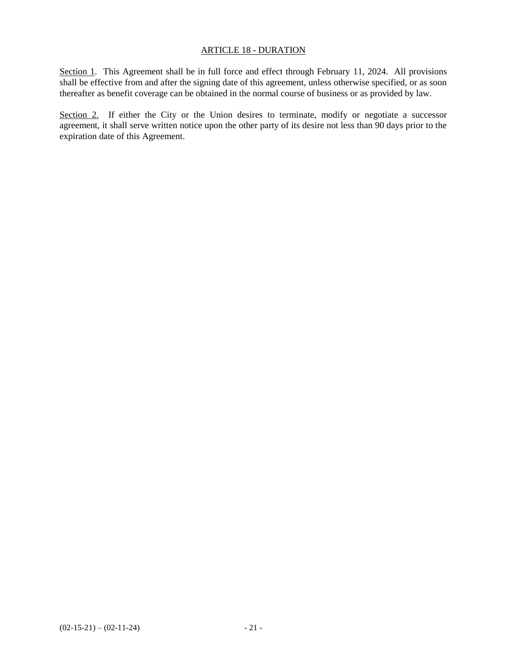#### ARTICLE 18 - DURATION

Section 1. This Agreement shall be in full force and effect through February 11, 2024. All provisions shall be effective from and after the signing date of this agreement, unless otherwise specified, or as soon thereafter as benefit coverage can be obtained in the normal course of business or as provided by law.

Section 2. If either the City or the Union desires to terminate, modify or negotiate a successor agreement, it shall serve written notice upon the other party of its desire not less than 90 days prior to the expiration date of this Agreement.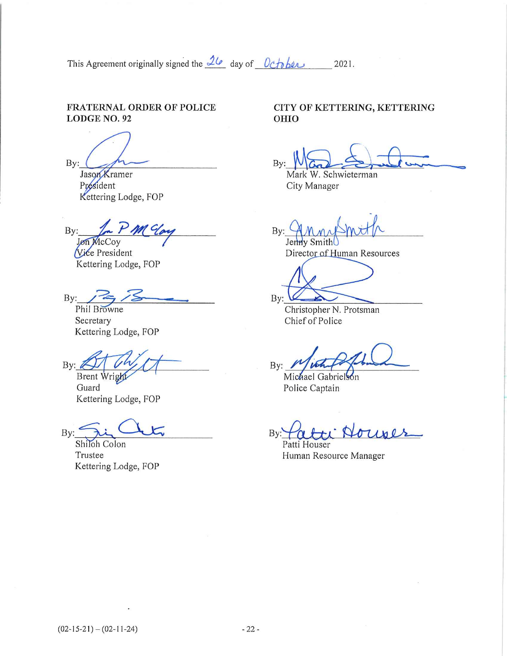This Agreement originally signed the  $\frac{26}{9}$  day of  $0$ ctober 2021.

#### **FRATERNAL ORDER OF POLICE** LODGE NO. 92

By:

Jason Kramer Président Kettering Lodge, FOP

 $By:$ Jon McCoy

Vice President Kettering Lodge, FOP

 $By:$ 

Phil Browne Secretary Kettering Lodge, FOP

By:

Brent Wright Guard Kettering Lodge, FOP

By:

Shiloh Colon Trustee Kettering Lodge, FOP

### CITY OF KETTERING, KETTERING OHIO

By

Mark W. Schwieterman City Manager

 $By:$ 

Jenny Smith Director of Human Resources

 $By:$ Christopher N. Protsman Chief of Police

 $By:$ 

Michael Gabrielson Police Captain

 $By:$ 

Patti Houser Human Resource Manager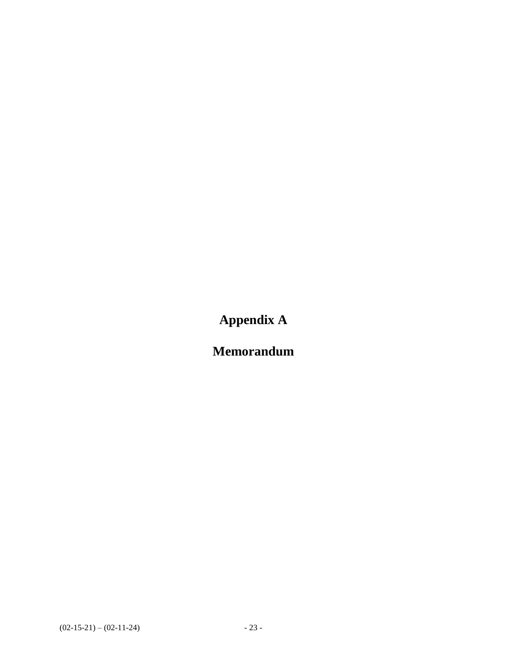**Appendix A**

**Memorandum**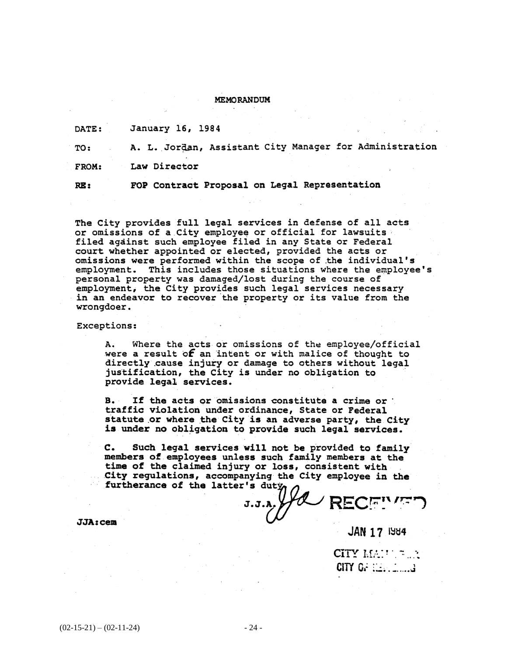#### **MEMORANDUM**

January 16, 1984 DATE:

A. L. Jordan, Assistant City Manager for Administration TO:

Law Director FROM:

RE:

FOP Contract Proposal on Legal Representation

The City provides full legal services in defense of all acts or omissions of a City employee or official for lawsuits filed against such employee filed in any State or Federal court whether appointed or elected, provided the acts or omissions were performed within the scope of the individual's employment. This includes those situations where the employee's personal property was damaged/lost during the course of employment, the City provides such legal services necessary in an endeavor to recover the property or its value from the wrongdoer.

#### Exceptions:

Where the acts or omissions of the employee/official А. were a result of an intent or with malice of thought to directly cause injury or damage to others without legal justification, the City is under no obligation to provide legal services.

 $B -$ If the acts or omissions constitute a crime or traffic violation under ordinance, State or Federal statute or where the City is an adverse party, the City is under no obligation to provide such legal services.

 $c_{\bullet}$ Such legal services will not be provided to family members of employees unless such family members at the time of the claimed injury or loss, consistent with City regulations, accompanying the City employee in the furtherance of the latter's duty

 $JJA:cem$ 

**JAN 17 1984** 

CITY  $M/T \approx 2$ CITY Or i.e., i.i.d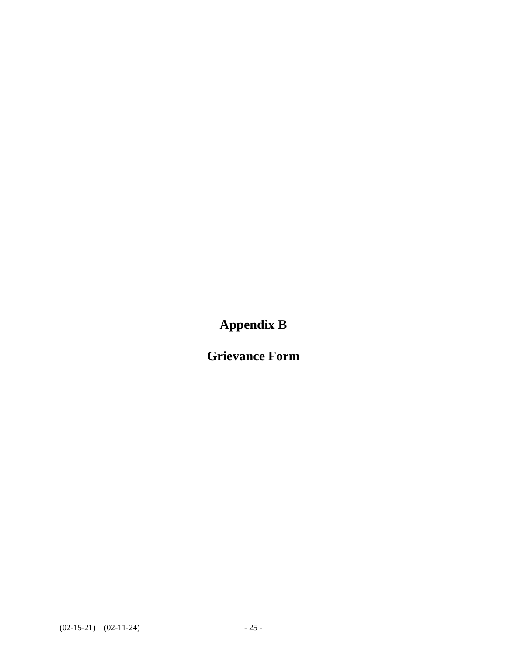**Appendix B**

**Grievance Form**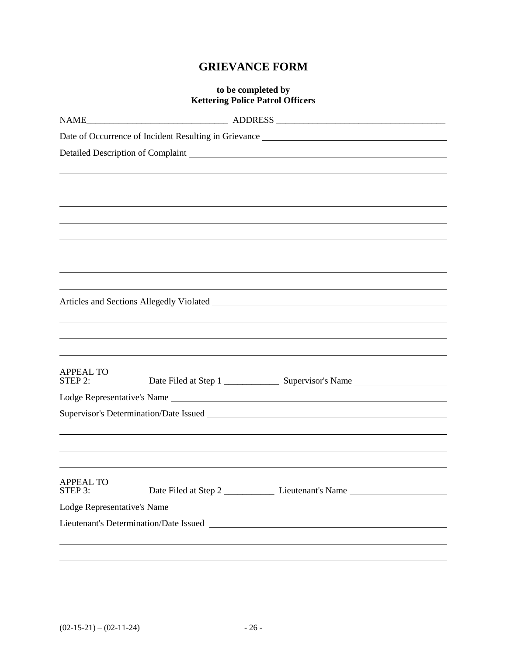## **GRIEVANCE FORM**

### **to be completed by Kettering Police Patrol Officers**

| <b>APPEAL TO</b><br>STEP 2: |  |
|-----------------------------|--|
|                             |  |
|                             |  |
|                             |  |
|                             |  |
|                             |  |
| <b>APPEAL TO</b>            |  |
| STEP 3:                     |  |
|                             |  |
|                             |  |
|                             |  |
|                             |  |
|                             |  |